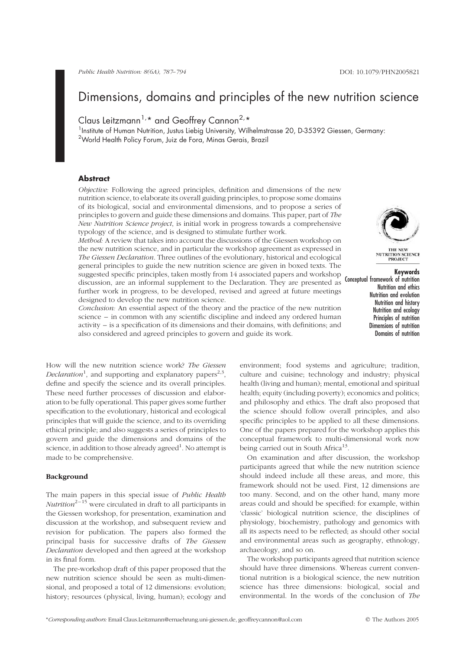Claus Leitzmann<sup>1,\*</sup> and Geoffrey Cannon<sup>2,\*</sup>

<sup>1</sup> Institute of Human Nutrition, Justus Liebig University, Wilhelmstrasse 20, D-35392 Giessen, Germany: <sup>2</sup>World Health Policy Forum, Juiz de Fora, Minas Gerais, Brazil

#### Abstract

Objective: Following the agreed principles, definition and dimensions of the new nutrition science, to elaborate its overall guiding principles, to propose some domains of its biological, social and environmental dimensions, and to propose a series of principles to govern and guide these dimensions and domains. This paper, part of The New Nutrition Science project, is initial work in progress towards a comprehensive typology of the science, and is designed to stimulate further work.

Method: A review that takes into account the discussions of the Giessen workshop on the new nutrition science, and in particular the workshop agreement as expressed in The Giessen Declaration. Three outlines of the evolutionary, historical and ecological general principles to guide the new nutrition science are given in boxed texts. The suggested specific principles, taken mostly from 14 associated papers and workshop discussion, are an informal supplement to the Declaration. They are presented as further work in progress, to be developed, revised and agreed at future meetings designed to develop the new nutrition science.

Conclusion: An essential aspect of the theory and the practice of the new nutrition science – in common with any scientific discipline and indeed any ordered human activity – is a specification of its dimensions and their domains, with definitions; and also considered and agreed principles to govern and guide its work.

How will the new nutrition science work? The Giessen *Declaration*<sup>1</sup>, and supporting and explanatory papers<sup>2,3</sup>, define and specify the science and its overall principles. These need further processes of discussion and elaboration to be fully operational. This paper gives some further specification to the evolutionary, historical and ecological principles that will guide the science, and to its overriding ethical principle; and also suggests a series of principles to govern and guide the dimensions and domains of the science, in addition to those already agreed $^1$ . No attempt is made to be comprehensive.

# Background

The main papers in this special issue of Public Health Nutrition<sup>2-15</sup> were circulated in draft to all participants in the Giessen workshop, for presentation, examination and discussion at the workshop, and subsequent review and revision for publication. The papers also formed the principal basis for successive drafts of The Giessen Declaration developed and then agreed at the workshop in its final form.

The pre-workshop draft of this paper proposed that the new nutrition science should be seen as multi-dimensional, and proposed a total of 12 dimensions: evolution; history; resources (physical, living, human); ecology and



Keywords Conceptual framework of nutrition Nutrition and ethics Nutrition and evolution Nutrition and history Nutrition and ecology Principles of nutrition Dimensions of nutrition Domains of nutrition

environment; food systems and agriculture; tradition, culture and cuisine; technology and industry; physical health (living and human); mental, emotional and spiritual health; equity (including poverty); economics and politics; and philosophy and ethics. The draft also proposed that the science should follow overall principles, and also specific principles to be applied to all these dimensions. One of the papers prepared for the workshop applies this conceptual framework to multi-dimensional work now being carried out in South Africa<sup>13</sup>.

On examination and after discussion, the workshop participants agreed that while the new nutrition science should indeed include all these areas, and more, this framework should not be used. First, 12 dimensions are too many. Second, and on the other hand, many more areas could and should be specified: for example, within 'classic' biological nutrition science, the disciplines of physiology, biochemistry, pathology and genomics with all its aspects need to be reflected; as should other social and environmental areas such as geography, ethnology, archaeology, and so on.

The workshop participants agreed that nutrition science should have three dimensions. Whereas current conventional nutrition is a biological science, the new nutrition science has three dimensions: biological, social and environmental. In the words of the conclusion of The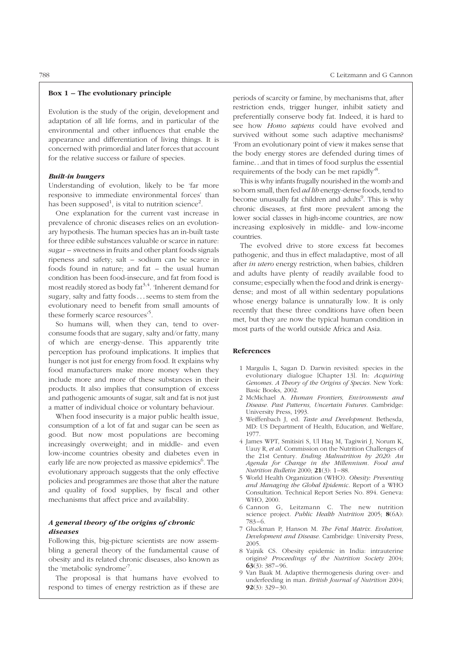#### Box 1 – The evolutionary principle

Evolution is the study of the origin, development and adaptation of all life forms, and in particular of the environmental and other influences that enable the appearance and differentiation of living things. It is concerned with primordial and later forces that account for the relative success or failure of species.

#### Built-in hungers

Understanding of evolution, likely to be 'far more responsive to immediate environmental forces' than has been supposed<sup>1</sup>, is vital to nutrition science<sup>2</sup>.

One explanation for the current vast increase in prevalence of chronic diseases relies on an evolutionary hypothesis. The human species has an in-built taste for three edible substances valuable or scarce in nature: sugar – sweetness in fruits and other plant foods signals ripeness and safety; salt – sodium can be scarce in foods found in nature; and fat – the usual human condition has been food-insecure, and fat from food is most readily stored as body  $fat^{3,4}$ . 'Inherent demand for sugary, salty and fatty foods...seems to stem from the evolutionary need to benefit from small amounts of these formerly scarce resources'<sup>5</sup>.

So humans will, when they can, tend to overconsume foods that are sugary, salty and/or fatty, many of which are energy-dense. This apparently trite perception has profound implications. It implies that hunger is not just for energy from food. It explains why food manufacturers make more money when they include more and more of these substances in their products. It also implies that consumption of excess and pathogenic amounts of sugar, salt and fat is not just a matter of individual choice or voluntary behaviour.

When food insecurity is a major public health issue, consumption of a lot of fat and sugar can be seen as good. But now most populations are becoming increasingly overweight; and in middle- and even low-income countries obesity and diabetes even in early life are now projected as massive epidemics<sup>6</sup>. The evolutionary approach suggests that the only effective policies and programmes are those that alter the nature and quality of food supplies, by fiscal and other mechanisms that affect price and availability.

# A general theory of the origins of chronic diseases

Following this, big-picture scientists are now assembling a general theory of the fundamental cause of obesity and its related chronic diseases, also known as the 'metabolic syndrome'7 .

The proposal is that humans have evolved to respond to times of energy restriction as if these are

periods of scarcity or famine, by mechanisms that, after restriction ends, trigger hunger, inhibit satiety and preferentially conserve body fat. Indeed, it is hard to see how Homo sapiens could have evolved and survived without some such adaptive mechanisms? 'From an evolutionary point of view it makes sense that the body energy stores are defended during times of famine...and that in times of food surplus the essential requirements of the body can be met rapidly<sup>8</sup>.

This is why infants frugally nourished in the womb and so born small, then fed ad lib energy-dense foods, tend to become unusually fat children and adults<sup>9</sup>. This is why chronic diseases, at first more prevalent among the lower social classes in high-income countries, are now increasing explosively in middle- and low-income countries.

The evolved drive to store excess fat becomes pathogenic, and thus in effect maladaptive, most of all after in utero energy restriction, when babies, children and adults have plenty of readily available food to consume; especially when the food and drink is energydense; and most of all within sedentary populations whose energy balance is unnaturally low. It is only recently that these three conditions have often been met, but they are now the typical human condition in most parts of the world outside Africa and Asia.

- 1 Margulis L, Sagan D. Darwin revisited: species in the evolutionary dialogue [Chapter 13]. In: Acquiring Genomes. A Theory of the Origins of Species. New York: Basic Books, 2002.
- 2 McMichael A. Human Frontiers, Environments and Disease. Past Patterns, Uncertain Futures. Cambridge: University Press, 1993.
- 3 Weiffenbach J, ed. Taste and Development. Bethesda, MD: US Department of Health, Education, and Welfare, 1977.
- 4 James WPT, Smitisiri S, Ul Haq M, Tagiwiri J, Norum K, Uauy R, et al. Commission on the Nutrition Challenges of the 21st Century. Ending Malnutrition by 2020: An Agenda for Change in the Millennium. Food and Nutrition Bulletin 2000; 21(3): 1-88.
- 5 World Health Organization (WHO). Obesity: Preventing and Managing the Global Epidemic. Report of a WHO Consultation. Technical Report Series No. 894. Geneva: WHO, 2000.
- 6 Cannon G, Leitzmann C. The new nutrition science project. Public Health Nutrition 2005: 8(6A): 783 – 6.
- 7 Gluckman P, Hanson M. The Fetal Matrix. Evolution, Development and Disease. Cambridge: University Press, 2005.
- 8 Yajnik CS. Obesity epidemic in India: intrauterine origins? Proceedings of the Nutrition Society 2004;  $63(3)$ : 387-96.
- 9 Van Baak M. Adaptive thermogenesis during over- and underfeeding in man. British Journal of Nutrition 2004;  $92(3): 329 - 30.$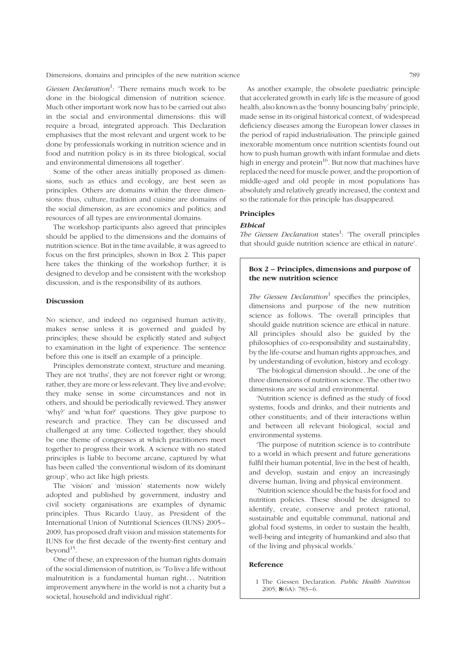Giessen Declaration<sup>1</sup>: 'There remains much work to be done in the biological dimension of nutrition science. Much other important work now has to be carried out also in the social and environmental dimensions: this will require a broad, integrated approach. This Declaration emphasises that the most relevant and urgent work to be done by professionals working in nutrition science and in food and nutrition policy is in its three biological, social and environmental dimensions all together'.

Some of the other areas initially proposed as dimensions, such as ethics and ecology, are best seen as principles. Others are domains within the three dimensions: thus, culture, tradition and cuisine are domains of the social dimension, as are economics and politics; and resources of all types are environmental domains.

The workshop participants also agreed that principles should be applied to the dimensions and the domains of nutrition science. But in the time available, it was agreed to focus on the first principles, shown in Box 2. This paper here takes the thinking of the workshop further; it is designed to develop and be consistent with the workshop discussion, and is the responsibility of its authors.

#### Discussion

No science, and indeed no organised human activity, makes sense unless it is governed and guided by principles; these should be explicitly stated and subject to examination in the light of experience. The sentence before this one is itself an example of a principle.

Principles demonstrate context, structure and meaning. They are not 'truths', they are not forever right or wrong; rather, they are more or less relevant. They live and evolve; they make sense in some circumstances and not in others, and should be periodically reviewed. They answer 'why?' and 'what for?' questions. They give purpose to research and practice. They can be discussed and challenged at any time. Collected together, they should be one theme of congresses at which practitioners meet together to progress their work. A science with no stated principles is liable to become arcane, captured by what has been called 'the conventional wisdom of its dominant group', who act like high priests.

The 'vision' and 'mission' statements now widely adopted and published by government, industry and civil society organisations are examples of dynamic principles. Thus Ricardo Uauy, as President of the International Union of Nutritional Sciences (IUNS) 2005– 2009, has proposed draft vision and mission statements for IUNS for the first decade of the twenty-first century and beyond<sup>15</sup>.

One of these, an expression of the human rights domain of the social dimension of nutrition, is: 'To live a life without malnutrition is a fundamental human right... Nutrition improvement anywhere in the world is not a charity but a societal, household and individual right'.

As another example, the obsolete paediatric principle that accelerated growth in early life is the measure of good health, also known as the 'bonny bouncing baby' principle, made sense in its original historical context, of widespread deficiency diseases among the European lower classes in the period of rapid industrialisation. The principle gained inexorable momentum once nutrition scientists found out how to push human growth with infant formulae and diets high in energy and protein<sup>16</sup>. But now that machines have replaced the need for muscle power, and the proportion of middle-aged and old people in most populations has absolutely and relatively greatly increased, the context and so the rationale for this principle has disappeared.

# Principles

# Ethical

The Giessen Declaration states<sup>1</sup>: 'The overall principles that should guide nutrition science are ethical in nature'.

# Box 2 – Principles, dimensions and purpose of the new nutrition science

The Giessen Declaration<sup>1</sup> specifies the principles, dimensions and purpose of the new nutrition science as follows. 'The overall principles that should guide nutrition science are ethical in nature. All principles should also be guided by the philosophies of co-responsibility and sustainability, by the life-course and human rights approaches, and by understanding of evolution, history and ecology.

'The biological dimension should...be one of the three dimensions of nutrition science. The other two dimensions are social and environmental.

'Nutrition science is defined as the study of food systems, foods and drinks, and their nutrients and other constituents; and of their interactions within and between all relevant biological, social and environmental systems.

'The purpose of nutrition science is to contribute to a world in which present and future generations fulfil their human potential, live in the best of health, and develop, sustain and enjoy an increasingly diverse human, living and physical environment.

'Nutrition science should be the basis for food and nutrition policies. These should be designed to identify, create, conserve and protect rational, sustainable and equitable communal, national and global food systems, in order to sustain the health, well-being and integrity of humankind and also that of the living and physical worlds.'

#### Reference

1 The Giessen Declaration. Public Health Nutrition 2005;  $8(6A)$ : 783-6.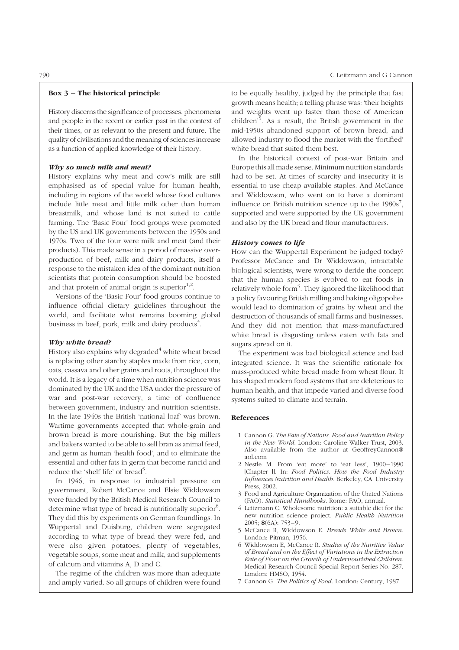# Box 3 – The historical principle

History discerns the significance of processes, phenomena and people in the recent or earlier past in the context of their times, or as relevant to the present and future. The quality of civilisations and the meaning of sciences increase as a function of applied knowledge of their history.

#### Why so much milk and meat?

History explains why meat and cow's milk are still emphasised as of special value for human health, including in regions of the world whose food cultures include little meat and little milk other than human breastmilk, and whose land is not suited to cattle farming. The 'Basic Four' food groups were promoted by the US and UK governments between the 1950s and 1970s. Two of the four were milk and meat (and their products). This made sense in a period of massive overproduction of beef, milk and dairy products, itself a response to the mistaken idea of the dominant nutrition scientists that protein consumption should be boosted and that protein of animal origin is superior $1,2$ .

Versions of the 'Basic Four' food groups continue to influence official dietary guidelines throughout the world, and facilitate what remains booming global business in beef, pork, milk and dairy products<sup>3</sup>.

# Why white bread?

History also explains why degraded $4$  white wheat bread is replacing other starchy staples made from rice, corn, oats, cassava and other grains and roots, throughout the world. It is a legacy of a time when nutrition science was dominated by the UK and the USA under the pressure of war and post-war recovery, a time of confluence between government, industry and nutrition scientists. In the late 1940s the British 'national loaf' was brown. Wartime governments accepted that whole-grain and brown bread is more nourishing. But the big millers and bakers wanted to be able to sell bran as animal feed, and germ as human 'health food', and to eliminate the essential and other fats in germ that become rancid and reduce the 'shelf life' of bread<sup>5</sup>.

In 1946, in response to industrial pressure on government, Robert McCance and Elsie Widdowson were funded by the British Medical Research Council to determine what type of bread is nutritionally superior<sup>6</sup>. They did this by experiments on German foundlings. In Wuppertal and Duisburg, children were segregated according to what type of bread they were fed, and were also given potatoes, plenty of vegetables, vegetable soups, some meat and milk, and supplements of calcium and vitamins A, D and C.

The regime of the children was more than adequate and amply varied. So all groups of children were found to be equally healthy, judged by the principle that fast growth means health; a telling phrase was: 'their heights and weights went up faster than those of American children<sup>3</sup>. As a result, the British government in the mid-1950s abandoned support of brown bread, and allowed industry to flood the market with the 'fortified' white bread that suited them best.

In the historical context of post-war Britain and Europe this all made sense. Minimum nutrition standards had to be set. At times of scarcity and insecurity it is essential to use cheap available staples. And McCance and Widdowson, who went on to have a dominant influence on British nutrition science up to the  $1980s^7$ , supported and were supported by the UK government and also by the UK bread and flour manufacturers.

#### History comes to life

How can the Wuppertal Experiment be judged today? Professor McCance and Dr Widdowson, intractable biological scientists, were wrong to deride the concept that the human species is evolved to eat foods in relatively whole form<sup>5</sup>. They ignored the likelihood that a policy favouring British milling and baking oligopolies would lead to domination of grains by wheat and the destruction of thousands of small farms and businesses. And they did not mention that mass-manufactured white bread is disgusting unless eaten with fats and sugars spread on it.

The experiment was bad biological science and bad integrated science. It was the scientific rationale for mass-produced white bread made from wheat flour. It has shaped modern food systems that are deleterious to human health, and that impede varied and diverse food systems suited to climate and terrain.

- 1 Cannon G. The Fate of Nations. Food and Nutrition Policy in the New World. London: Caroline Walker Trust, 2003. Also available from the author at GeoffreyCannon@ aol.com
- 2 Nestle M. From 'eat more' to 'eat less', 1900– 1990 [Chapter 1]. In: Food Politics. How the Food Industry Influences Nutrition and Health. Berkeley, CA: University Press, 2002.
- 3 Food and Agriculture Organization of the United Nations (FAO). Statistical Handbooks. Rome: FAO, annual.
- 4 Leitzmann C. Wholesome nutrition: a suitable diet for the new nutrition science project. Public Health Nutrition 2005;  $8(6A)$ : 753-9.
- 5 McCance R, Widdowson E. Breads White and Brown. London: Pitman, 1956.
- 6 Widdowson E, McCance R. Studies of the Nutritive Value of Bread and on the Effect of Variations in the Extraction Rate of Flour on the Growth of Undernourished Children. Medical Research Council Special Report Series No. 287. London: HMSO, 1954.
- 7 Cannon G. The Politics of Food. London: Century, 1987.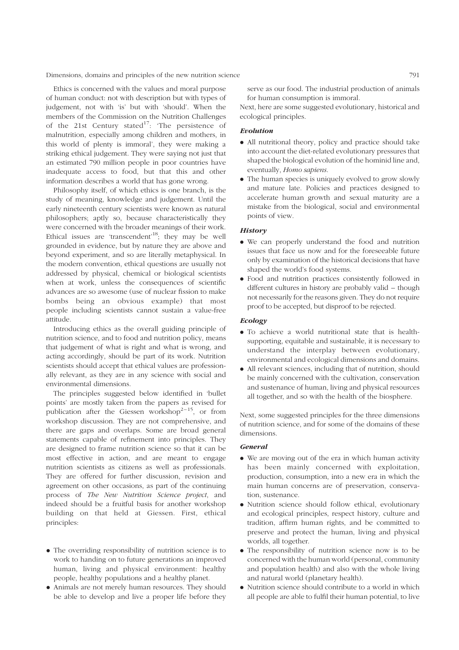Ethics is concerned with the values and moral purpose of human conduct: not with description but with types of judgement, not with 'is' but with 'should'. When the members of the Commission on the Nutrition Challenges of the 21st Century stated<sup>17</sup>: 'The persistence of malnutrition, especially among children and mothers, in this world of plenty is immoral', they were making a striking ethical judgement. They were saying not just that an estimated 790 million people in poor countries have inadequate access to food, but that this and other information describes a world that has gone wrong.

Philosophy itself, of which ethics is one branch, is the study of meaning, knowledge and judgement. Until the early nineteenth century scientists were known as natural philosophers; aptly so, because characteristically they were concerned with the broader meanings of their work. Ethical issues are 'transcendent'<sup>18</sup>; they may be well grounded in evidence, but by nature they are above and beyond experiment, and so are literally metaphysical. In the modern convention, ethical questions are usually not addressed by physical, chemical or biological scientists when at work, unless the consequences of scientific advances are so awesome (use of nuclear fission to make bombs being an obvious example) that most people including scientists cannot sustain a value-free attitude.

Introducing ethics as the overall guiding principle of nutrition science, and to food and nutrition policy, means that judgement of what is right and what is wrong, and acting accordingly, should be part of its work. Nutrition scientists should accept that ethical values are professionally relevant, as they are in any science with social and environmental dimensions.

The principles suggested below identified in 'bullet points' are mostly taken from the papers as revised for publication after the Giessen workshop<sup>2-15</sup>, or from workshop discussion. They are not comprehensive, and there are gaps and overlaps. Some are broad general statements capable of refinement into principles. They are designed to frame nutrition science so that it can be most effective in action, and are meant to engage nutrition scientists as citizens as well as professionals. They are offered for further discussion, revision and agreement on other occasions, as part of the continuing process of The New Nutrition Science project, and indeed should be a fruitful basis for another workshop building on that held at Giessen. First, ethical principles:

- . The overriding responsibility of nutrition science is to work to handing on to future generations an improved human, living and physical environment: healthy people, healthy populations and a healthy planet.
- . Animals are not merely human resources. They should be able to develop and live a proper life before they

serve as our food. The industrial production of animals for human consumption is immoral.

Next, here are some suggested evolutionary, historical and ecological principles.

# Evolution

- . All nutritional theory, policy and practice should take into account the diet-related evolutionary pressures that shaped the biological evolution of the hominid line and, eventually, Homo sapiens.
- The human species is uniquely evolved to grow slowly and mature late. Policies and practices designed to accelerate human growth and sexual maturity are a mistake from the biological, social and environmental points of view.

#### **History**

- . We can properly understand the food and nutrition issues that face us now and for the foreseeable future only by examination of the historical decisions that have shaped the world's food systems.
- . Food and nutrition practices consistently followed in different cultures in history are probably valid – though not necessarily for the reasons given. They do not require proof to be accepted, but disproof to be rejected.

#### **Ecology**

- . To achieve a world nutritional state that is healthsupporting, equitable and sustainable, it is necessary to understand the interplay between evolutionary, environmental and ecological dimensions and domains.
- . All relevant sciences, including that of nutrition, should be mainly concerned with the cultivation, conservation and sustenance of human, living and physical resources all together, and so with the health of the biosphere.

Next, some suggested principles for the three dimensions of nutrition science, and for some of the domains of these dimensions.

# General

- . We are moving out of the era in which human activity has been mainly concerned with exploitation, production, consumption, into a new era in which the main human concerns are of preservation, conservation, sustenance.
- . Nutrition science should follow ethical, evolutionary and ecological principles, respect history, culture and tradition, affirm human rights, and be committed to preserve and protect the human, living and physical worlds, all together.
- . The responsibility of nutrition science now is to be concerned with the human world (personal, community and population health) and also with the whole living and natural world (planetary health).
- . Nutrition science should contribute to a world in which all people are able to fulfil their human potential, to live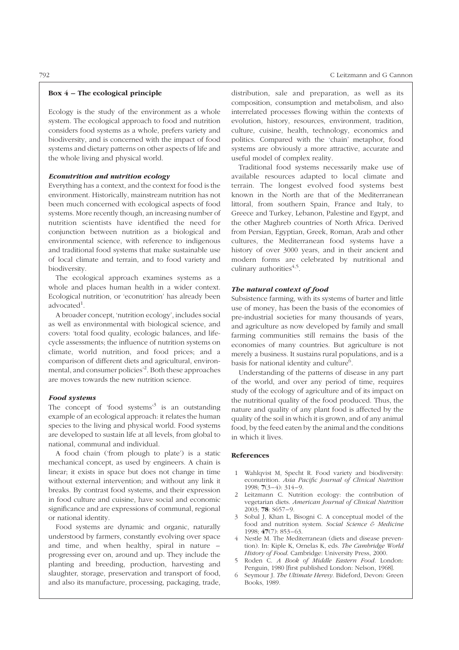# Box 4 – The ecological principle

Ecology is the study of the environment as a whole system. The ecological approach to food and nutrition considers food systems as a whole, prefers variety and biodiversity, and is concerned with the impact of food systems and dietary patterns on other aspects of life and the whole living and physical world.

#### Econutrition and nutrition ecology

Everything has a context, and the context for food is the environment. Historically, mainstream nutrition has not been much concerned with ecological aspects of food systems. More recently though, an increasing number of nutrition scientists have identified the need for conjunction between nutrition as a biological and environmental science, with reference to indigenous and traditional food systems that make sustainable use of local climate and terrain, and to food variety and biodiversity.

The ecological approach examines systems as a whole and places human health in a wider context. Ecological nutrition, or 'econutrition' has already been advocate $d^1$ .

A broader concept, 'nutrition ecology', includes social as well as environmental with biological science, and covers: 'total food quality, ecologic balances, and lifecycle assessments; the influence of nutrition systems on climate, world nutrition, and food prices; and a comparison of different diets and agricultural, environmental, and consumer policies<sup>,2</sup>. Both these approaches are moves towards the new nutrition science.

#### Food systems

The concept of 'food systems'<sup>3</sup> is an outstanding example of an ecological approach: it relates the human species to the living and physical world. Food systems are developed to sustain life at all levels, from global to national, communal and individual.

A food chain ('from plough to plate') is a static mechanical concept, as used by engineers. A chain is linear; it exists in space but does not change in time without external intervention; and without any link it breaks. By contrast food systems, and their expression in food culture and cuisine, have social and economic significance and are expressions of communal, regional or national identity.

Food systems are dynamic and organic, naturally understood by farmers, constantly evolving over space and time, and when healthy, spiral in nature – progressing ever on, around and up. They include the planting and breeding, production, harvesting and slaughter, storage, preservation and transport of food, and also its manufacture, processing, packaging, trade, distribution, sale and preparation, as well as its composition, consumption and metabolism, and also interrelated processes flowing within the contexts of evolution, history, resources, environment, tradition, culture, cuisine, health, technology, economics and politics. Compared with the 'chain' metaphor, food systems are obviously a more attractive, accurate and useful model of complex reality.

Traditional food systems necessarily make use of available resources adapted to local climate and terrain. The longest evolved food systems best known in the North are that of the Mediterranean littoral, from southern Spain, France and Italy, to Greece and Turkey, Lebanon, Palestine and Egypt, and the other Maghreb countries of North Africa. Derived from Persian, Egyptian, Greek, Roman, Arab and other cultures, the Mediterranean food systems have a history of over 3000 years, and in their ancient and modern forms are celebrated by nutritional and culinary authorities $4,5$ .

#### The natural context of food

Subsistence farming, with its systems of barter and little use of money, has been the basis of the economies of pre-industrial societies for many thousands of years, and agriculture as now developed by family and small farming communities still remains the basis of the economies of many countries. But agriculture is not merely a business. It sustains rural populations, and is a basis for national identity and culture<sup>6</sup>.

Understanding of the patterns of disease in any part of the world, and over any period of time, requires study of the ecology of agriculture and of its impact on the nutritional quality of the food produced. Thus, the nature and quality of any plant food is affected by the quality of the soil in which it is grown, and of any animal food, by the feed eaten by the animal and the conditions in which it lives.

- 1 Wahlqvist M, Specht R. Food variety and biodiversity: econutrition. Asia Pacific Journal of Clinical Nutrition 1998;  $7(3-4)$ : 314-9.
- 2 Leitzmann C. Nutrition ecology: the contribution of vegetarian diets. American Journal of Clinical Nutrition 2003; 78: S657– 9.
- 3 Sobal J, Khan L, Bisogni C. A conceptual model of the food and nutrition system. Social Science & Medicine  $1998 \cdot 47(7) \cdot 853 - 63$
- 4 Nestle M. The Mediterranean (diets and disease prevention). In: Kiple K, Ornelas K, eds. The Cambridge World History of Food. Cambridge: University Press, 2000.
- 5 Roden C. A Book of Middle Eastern Food. London: Penguin, 1980 [first published London: Nelson, 1968].
- 6 Seymour J. The Ultimate Heresy. Bideford, Devon: Green Books, 1989.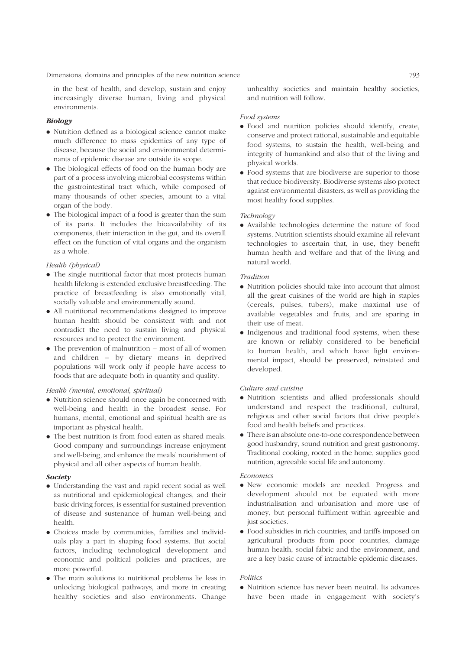in the best of health, and develop, sustain and enjoy increasingly diverse human, living and physical environments.

# Biology

- . Nutrition defined as a biological science cannot make much difference to mass epidemics of any type of disease, because the social and environmental determinants of epidemic disease are outside its scope.
- . The biological effects of food on the human body are part of a process involving microbial ecosystems within the gastrointestinal tract which, while composed of many thousands of other species, amount to a vital organ of the body.
- . The biological impact of a food is greater than the sum of its parts. It includes the bioavailability of its components, their interaction in the gut, and its overall effect on the function of vital organs and the organism as a whole.

# Health (physical)

- . The single nutritional factor that most protects human health lifelong is extended exclusive breastfeeding. The practice of breastfeeding is also emotionally vital, socially valuable and environmentally sound.
- . All nutritional recommendations designed to improve human health should be consistent with and not contradict the need to sustain living and physical resources and to protect the environment.
- . The prevention of malnutrition most of all of women and children – by dietary means in deprived populations will work only if people have access to foods that are adequate both in quantity and quality.

# Health (mental, emotional, spiritual)

- . Nutrition science should once again be concerned with well-being and health in the broadest sense. For humans, mental, emotional and spiritual health are as important as physical health.
- . The best nutrition is from food eaten as shared meals. Good company and surroundings increase enjoyment and well-being, and enhance the meals' nourishment of physical and all other aspects of human health.

# Society

- . Understanding the vast and rapid recent social as well as nutritional and epidemiological changes, and their basic driving forces, is essential for sustained prevention of disease and sustenance of human well-being and health.
- . Choices made by communities, families and individuals play a part in shaping food systems. But social factors, including technological development and economic and political policies and practices, are more powerful.
- . The main solutions to nutritional problems lie less in unlocking biological pathways, and more in creating healthy societies and also environments. Change

unhealthy societies and maintain healthy societies, and nutrition will follow.

# Food systems

- . Food and nutrition policies should identify, create, conserve and protect rational, sustainable and equitable food systems, to sustain the health, well-being and integrity of humankind and also that of the living and physical worlds.
- . Food systems that are biodiverse are superior to those that reduce biodiversity. Biodiverse systems also protect against environmental disasters, as well as providing the most healthy food supplies.

# Technology

. Available technologies determine the nature of food systems. Nutrition scientists should examine all relevant technologies to ascertain that, in use, they benefit human health and welfare and that of the living and natural world.

# Tradition

- . Nutrition policies should take into account that almost all the great cuisines of the world are high in staples (cereals, pulses, tubers), make maximal use of available vegetables and fruits, and are sparing in their use of meat.
- . Indigenous and traditional food systems, when these are known or reliably considered to be beneficial to human health, and which have light environmental impact, should be preserved, reinstated and developed.

# Culture and cuisine

- . Nutrition scientists and allied professionals should understand and respect the traditional, cultural, religious and other social factors that drive people's food and health beliefs and practices.
- . There is an absolute one-to-one correspondence between good husbandry, sound nutrition and great gastronomy. Traditional cooking, rooted in the home, supplies good nutrition, agreeable social life and autonomy.

# Economics

- . New economic models are needed. Progress and development should not be equated with more industrialisation and urbanisation and more use of money, but personal fulfilment within agreeable and just societies.
- . Food subsidies in rich countries, and tariffs imposed on agricultural products from poor countries, damage human health, social fabric and the environment, and are a key basic cause of intractable epidemic diseases.

# Politics

. Nutrition science has never been neutral. Its advances have been made in engagement with society's